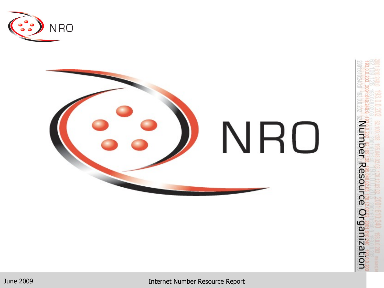



June 2009 Internet Number Resource Report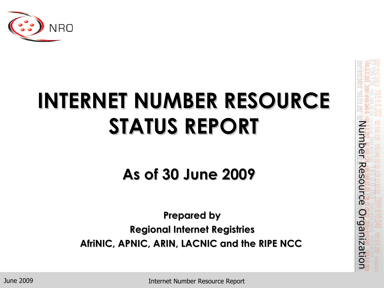

# **INTERNET NUMBER RESOURCE STATUS REPORT**

**As of 30 June 2009**

**Prepared by Regional Internet Registries AfriNIC, APNIC, ARIN, LACNIC and the RIPE NCC**

June 2009

Internet Number Resource Report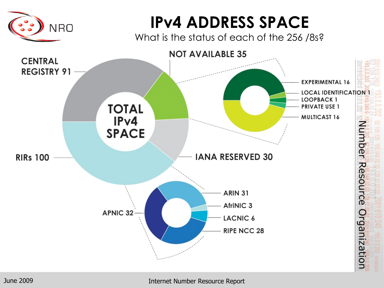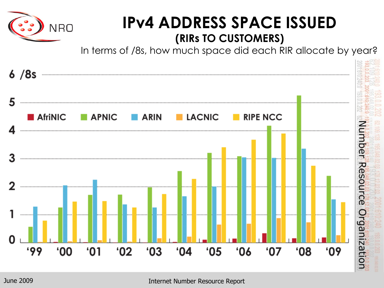

#### **IPv4 ADDRESS SPACE ISSUED (RIRs TO CUSTOMERS)**

In terms of /8s, how much space did each RIR allocate by year?

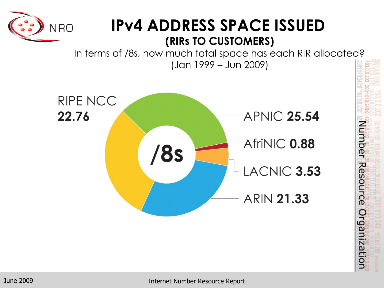

#### **IPv4 ADDRESS SPACE ISSUED (RIRs TO CUSTOMERS)**

In terms of /8s, how much total space has each RIR allocated? (Jan 1999 – Jun 2009)



Internet Number Resource Report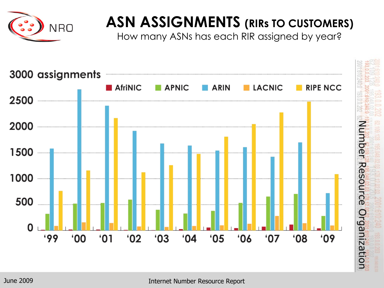

#### **ASN ASSIGNMENTS (RIRs TO CUSTOMERS)**

How many ASNs has each RIR assigned by year?



June 2009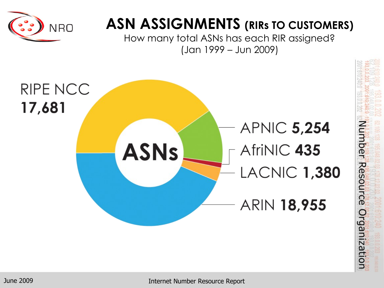

#### **ASN ASSIGNMENTS (RIRs TO CUSTOMERS)**

How many total ASNs has each RIR assigned? (Jan 1999 – Jun 2009)



Number Resource Organization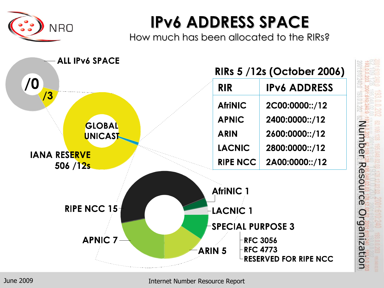

### **IPv6 ADDRESS SPACE**

How much has been allocated to the RIRs?

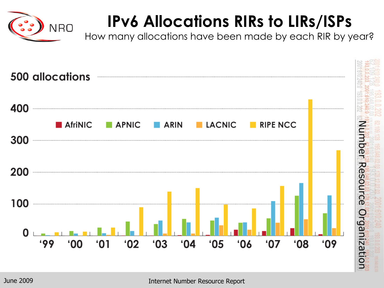

## **IPv6 Allocations RIRs to LIRs/ISPs**

How many allocations have been made by each RIR by year?

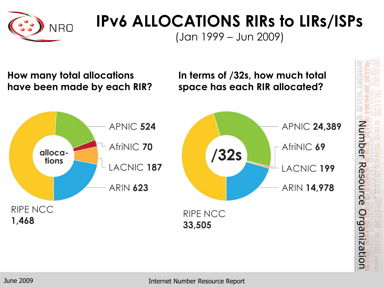

## **IPv6 ALLOCATIONS RIRs to LIRs/ISPs**

(Jan 1999 – Jun 2009)

**How many total allocations have been made by each RIR?** **In terms of /32s, how much total space has each RIR allocated?**

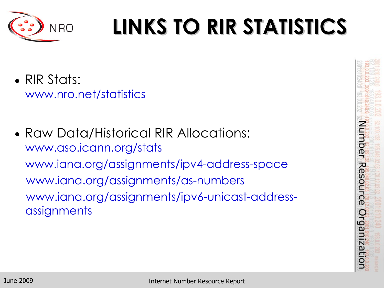

# **LINKS TO RIR STATISTICS**

• RIR Stats:

www.nro.net/statistics

• Raw Data/Historical RIR Allocations: www.aso.icann.org/stats www.iana.org/assignments/ipv4-address-space www.iana.org/assignments/as-numbers www.iana.org/assignments/ipv6-unicast-addressassignments